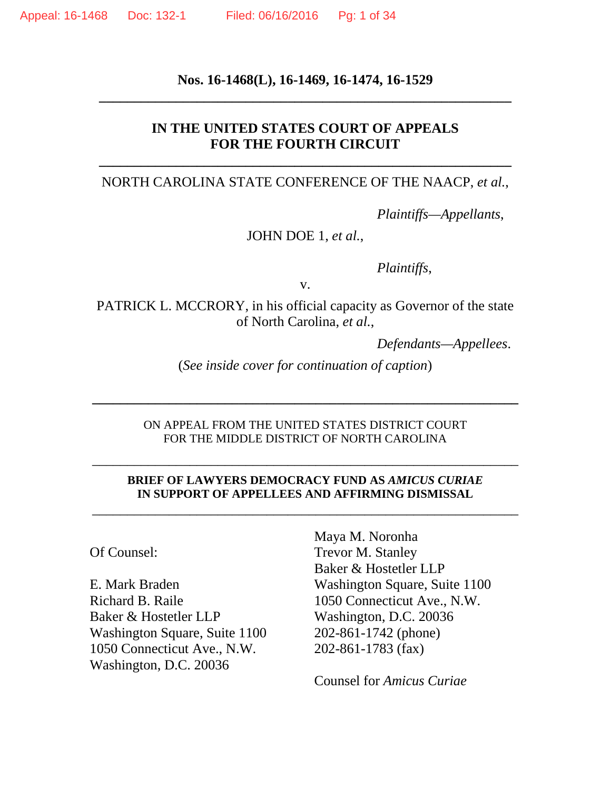## **Nos. 16-1468(L), 16-1469, 16-1474, 16-1529 \_\_\_\_\_\_\_\_\_\_\_\_\_\_\_\_\_\_\_\_\_\_\_\_\_\_\_\_\_\_\_\_\_\_\_\_\_\_\_\_\_\_\_\_\_\_\_\_\_\_\_\_\_\_\_\_\_\_\_**

### **IN THE UNITED STATES COURT OF APPEALS FOR THE FOURTH CIRCUIT**

#### NORTH CAROLINA STATE CONFERENCE OF THE NAACP, *et al.*,

**\_\_\_\_\_\_\_\_\_\_\_\_\_\_\_\_\_\_\_\_\_\_\_\_\_\_\_\_\_\_\_\_\_\_\_\_\_\_\_\_\_\_\_\_\_\_\_\_\_\_\_\_\_\_\_\_\_\_\_**

*Plaintiffs—Appellants*,

#### JOHN DOE 1, *et al.*,

*Plaintiffs*,

v.

PATRICK L. MCCRORY, in his official capacity as Governor of the state of North Carolina, *et al.*,

*Defendants—Appellees*.

(*See inside cover for continuation of caption*)

**\_\_\_\_\_\_\_\_\_\_\_\_\_\_\_\_\_\_\_\_\_\_\_\_\_\_\_\_\_\_\_\_\_\_\_\_\_\_\_\_\_\_\_\_\_\_\_\_\_\_\_\_\_\_\_\_\_\_\_\_\_**

#### ON APPEAL FROM THE UNITED STATES DISTRICT COURT FOR THE MIDDLE DISTRICT OF NORTH CAROLINA

\_\_\_\_\_\_\_\_\_\_\_\_\_\_\_\_\_\_\_\_\_\_\_\_\_\_\_\_\_\_\_\_\_\_\_\_\_\_\_\_\_\_\_\_\_\_\_\_\_\_\_\_\_\_\_\_\_\_\_\_\_

#### **BRIEF OF LAWYERS DEMOCRACY FUND AS** *AMICUS CURIAE* **IN SUPPORT OF APPELLEES AND AFFIRMING DISMISSAL**

\_\_\_\_\_\_\_\_\_\_\_\_\_\_\_\_\_\_\_\_\_\_\_\_\_\_\_\_\_\_\_\_\_\_\_\_\_\_\_\_\_\_\_\_\_\_\_\_\_\_\_\_\_\_\_\_\_\_\_\_\_

Of Counsel:

E. Mark Braden Richard B. Raile Baker & Hostetler LLP Washington Square, Suite 1100 1050 Connecticut Ave., N.W. Washington, D.C. 20036

Maya M. Noronha Trevor M. Stanley Baker & Hostetler LLP Washington Square, Suite 1100 1050 Connecticut Ave., N.W. Washington, D.C. 20036 202-861-1742 (phone) 202-861-1783 (fax)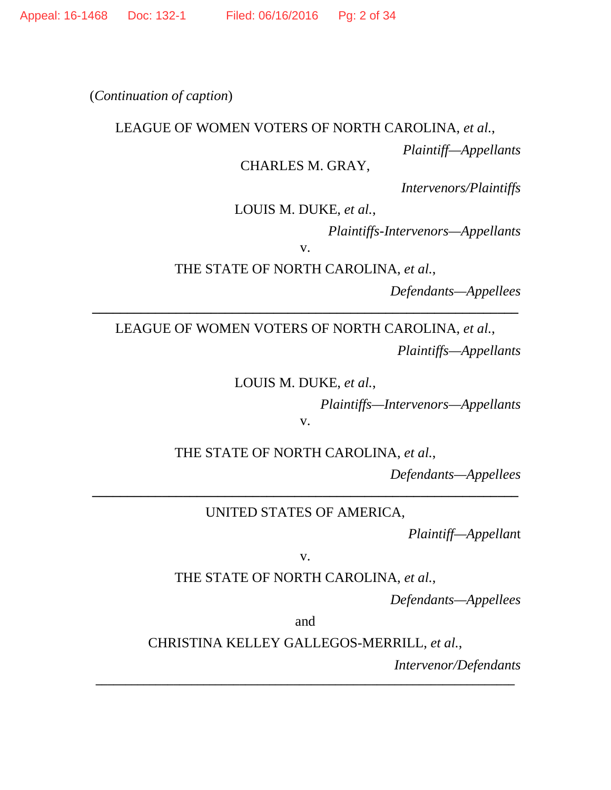(*Continuation of caption*)

#### LEAGUE OF WOMEN VOTERS OF NORTH CAROLINA, *et al.*,

*Plaintiff—Appellants*

#### CHARLES M. GRAY,

*Intervenors/Plaintiffs*

LOUIS M. DUKE, *et al.*,

*Plaintiffs-Intervenors—Appellants*

v.

THE STATE OF NORTH CAROLINA, *et al.*,

**\_\_\_\_\_\_\_\_\_\_\_\_\_\_\_\_\_\_\_\_\_\_\_\_\_\_\_\_\_\_\_\_\_\_\_\_\_\_\_\_\_\_\_\_\_\_\_\_\_\_\_\_\_\_\_\_\_\_\_\_\_**

*Defendants—Appellees*

LEAGUE OF WOMEN VOTERS OF NORTH CAROLINA, *et al.*, *Plaintiffs—Appellants*

LOUIS M. DUKE, *et al.*,

*Plaintiffs—Intervenors—Appellants*

THE STATE OF NORTH CAROLINA, *et al.*,

v.

*Defendants—Appellees*

UNITED STATES OF AMERICA,

**\_\_\_\_\_\_\_\_\_\_\_\_\_\_\_\_\_\_\_\_\_\_\_\_\_\_\_\_\_\_\_\_\_\_\_\_\_\_\_\_\_\_\_\_\_\_\_\_\_\_\_\_\_\_\_\_\_\_\_\_\_**

*Plaintiff—Appellan*t

v.

THE STATE OF NORTH CAROLINA, *et al.*,

*Defendants—Appellees*

and

CHRISTINA KELLEY GALLEGOS-MERRILL, *et al.*,

**\_\_\_\_\_\_\_\_\_\_\_\_\_\_\_\_\_\_\_\_\_\_\_\_\_\_\_\_\_\_\_\_\_\_\_\_\_\_\_\_\_\_\_\_\_\_\_\_\_\_\_\_\_\_\_\_\_\_\_\_\_\_\_\_\_\_\_\_\_\_**

*Intervenor/Defendants*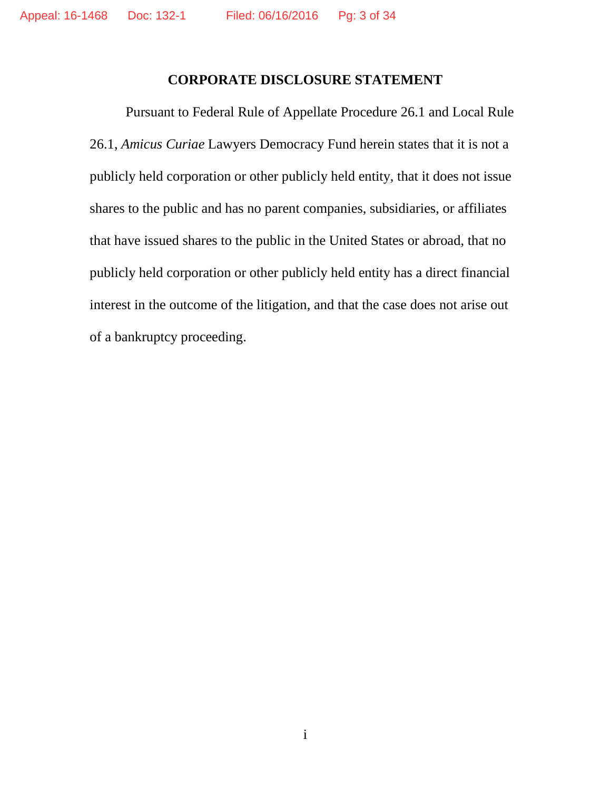#### **CORPORATE DISCLOSURE STATEMENT**

Pursuant to Federal Rule of Appellate Procedure 26.1 and Local Rule 26.1, *Amicus Curiae* Lawyers Democracy Fund herein states that it is not a publicly held corporation or other publicly held entity, that it does not issue shares to the public and has no parent companies, subsidiaries, or affiliates that have issued shares to the public in the United States or abroad, that no publicly held corporation or other publicly held entity has a direct financial interest in the outcome of the litigation, and that the case does not arise out of a bankruptcy proceeding.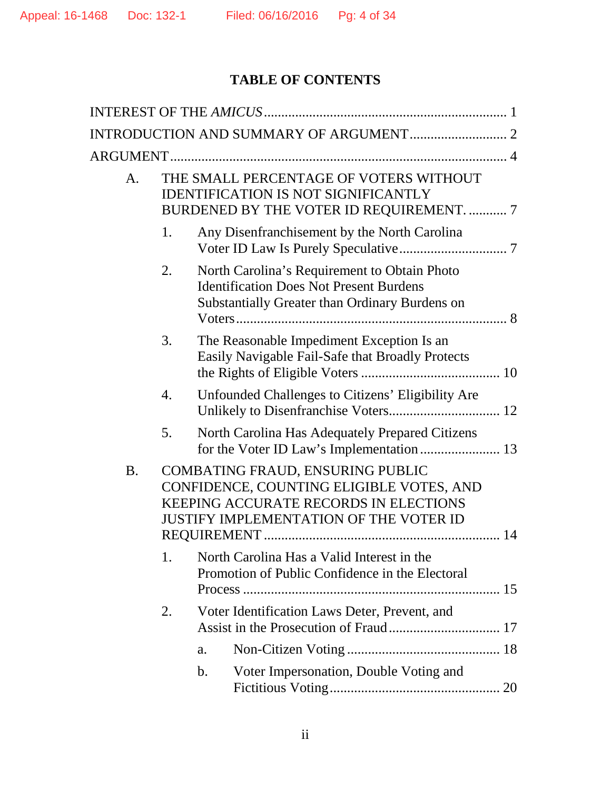# **TABLE OF CONTENTS**

| A.        |                                                                                                                                                                        | THE SMALL PERCENTAGE OF VOTERS WITHOUT<br><b>IDENTIFICATION IS NOT SIGNIFICANTLY</b><br>BURDENED BY THE VOTER ID REQUIREMENT.  7                        |
|-----------|------------------------------------------------------------------------------------------------------------------------------------------------------------------------|---------------------------------------------------------------------------------------------------------------------------------------------------------|
|           | 1.                                                                                                                                                                     | Any Disenfranchisement by the North Carolina                                                                                                            |
|           | 2.                                                                                                                                                                     | North Carolina's Requirement to Obtain Photo<br><b>Identification Does Not Present Burdens</b><br><b>Substantially Greater than Ordinary Burdens on</b> |
|           | 3.                                                                                                                                                                     | The Reasonable Impediment Exception Is an<br>Easily Navigable Fail-Safe that Broadly Protects                                                           |
|           | 4.                                                                                                                                                                     | Unfounded Challenges to Citizens' Eligibility Are                                                                                                       |
|           | 5.                                                                                                                                                                     | North Carolina Has Adequately Prepared Citizens                                                                                                         |
| <b>B.</b> | COMBATING FRAUD, ENSURING PUBLIC<br>CONFIDENCE, COUNTING ELIGIBLE VOTES, AND<br><b>KEEPING ACCURATE RECORDS IN ELECTIONS</b><br>JUSTIFY IMPLEMENTATION OF THE VOTER ID |                                                                                                                                                         |
|           | 1.                                                                                                                                                                     | North Carolina Has a Valid Interest in the<br>Promotion of Public Confidence in the Electoral                                                           |
|           | 2.                                                                                                                                                                     | Voter Identification Laws Deter, Prevent, and                                                                                                           |
|           |                                                                                                                                                                        | a.                                                                                                                                                      |
|           |                                                                                                                                                                        | Voter Impersonation, Double Voting and<br>$\mathbf b$ .                                                                                                 |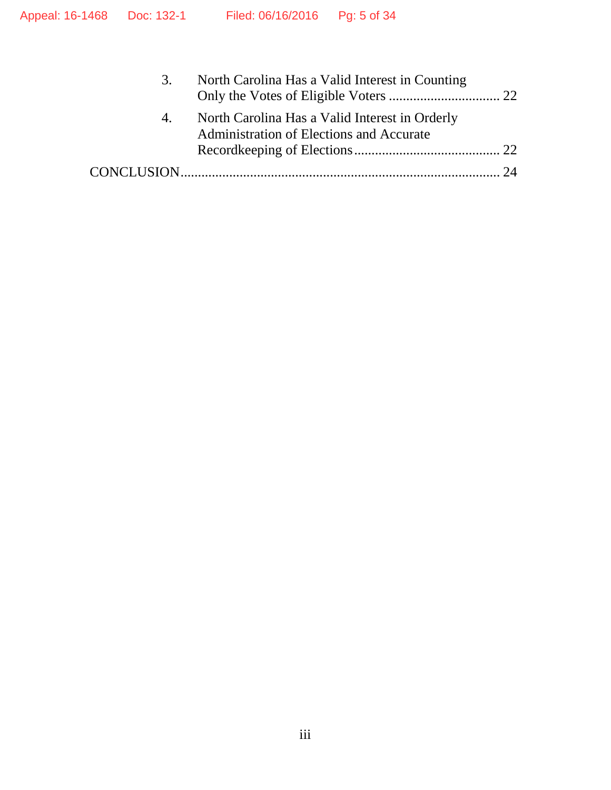| 3. | North Carolina Has a Valid Interest in Counting                                            |  |
|----|--------------------------------------------------------------------------------------------|--|
| 4. | North Carolina Has a Valid Interest in Orderly<br>Administration of Elections and Accurate |  |
|    |                                                                                            |  |
|    |                                                                                            |  |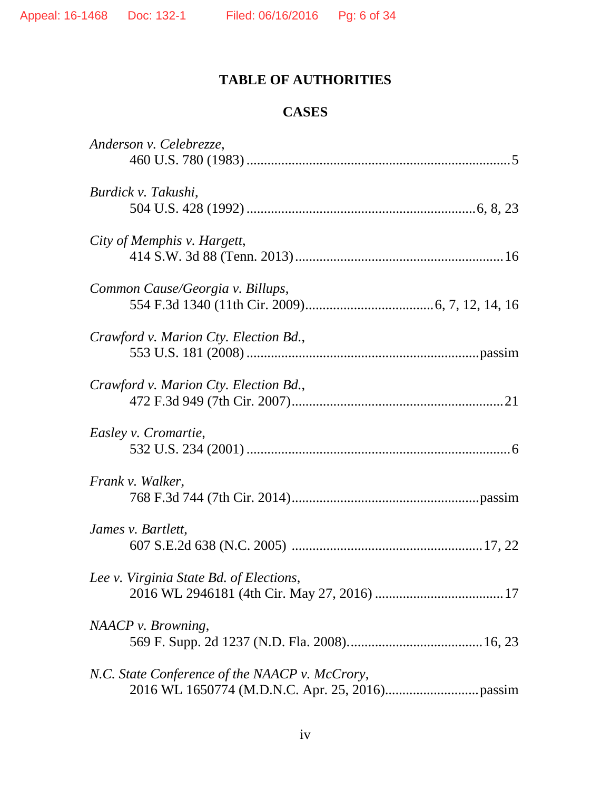# **TABLE OF AUTHORITIES**

# **CASES**

| Anderson v. Celebrezze,                        |
|------------------------------------------------|
|                                                |
| Burdick v. Takushi,                            |
|                                                |
| City of Memphis v. Hargett,                    |
|                                                |
| Common Cause/Georgia v. Billups,               |
|                                                |
| Crawford v. Marion Cty. Election Bd.,          |
|                                                |
| Crawford v. Marion Cty. Election Bd.,          |
|                                                |
| Easley v. Cromartie,                           |
|                                                |
| Frank v. Walker,                               |
|                                                |
| James v. Bartlett,                             |
|                                                |
| Lee v. Virginia State Bd. of Elections,        |
|                                                |
| NAACP v. Browning,                             |
|                                                |
| N.C. State Conference of the NAACP v. McCrory, |
|                                                |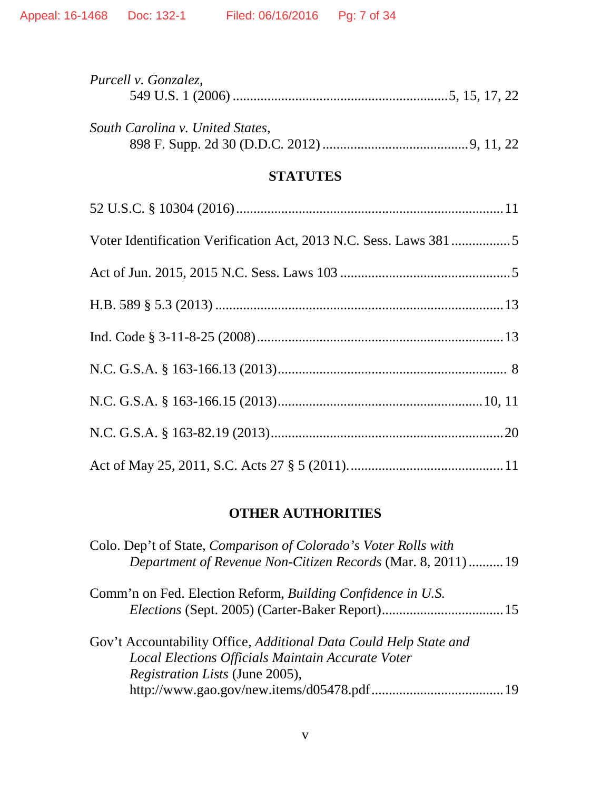| Purcell v. Gonzalez,             |  |
|----------------------------------|--|
| South Carolina v. United States, |  |

# **STATUTES**

# **OTHER AUTHORITIES**

| Colo. Dep't of State, Comparison of Colorado's Voter Rolls with<br>Department of Revenue Non-Citizen Records (Mar. 8, 2011)  19 |  |
|---------------------------------------------------------------------------------------------------------------------------------|--|
| Comm'n on Fed. Election Reform, <i>Building Confidence in U.S.</i>                                                              |  |
|                                                                                                                                 |  |
| Gov't Accountability Office, Additional Data Could Help State and                                                               |  |
| Local Elections Officials Maintain Accurate Voter                                                                               |  |
| <i>Registration Lists</i> (June 2005),                                                                                          |  |
|                                                                                                                                 |  |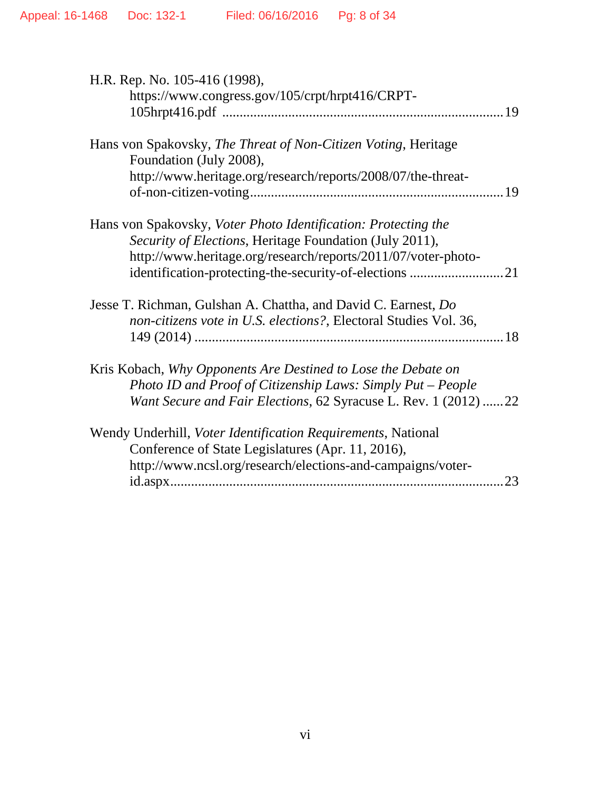| H.R. Rep. No. 105-416 (1998),                                    |  |
|------------------------------------------------------------------|--|
| https://www.congress.gov/105/crpt/hrpt416/CRPT-                  |  |
|                                                                  |  |
|                                                                  |  |
| Hans von Spakovsky, The Threat of Non-Citizen Voting, Heritage   |  |
| Foundation (July 2008),                                          |  |
| http://www.heritage.org/research/reports/2008/07/the-threat-     |  |
|                                                                  |  |
|                                                                  |  |
| Hans von Spakovsky, Voter Photo Identification: Protecting the   |  |
| Security of Elections, Heritage Foundation (July 2011),          |  |
| http://www.heritage.org/research/reports/2011/07/voter-photo-    |  |
|                                                                  |  |
|                                                                  |  |
| Jesse T. Richman, Gulshan A. Chattha, and David C. Earnest, Do   |  |
| non-citizens vote in U.S. elections?, Electoral Studies Vol. 36, |  |
|                                                                  |  |
|                                                                  |  |
| Kris Kobach, Why Opponents Are Destined to Lose the Debate on    |  |
| Photo ID and Proof of Citizenship Laws: Simply Put - People      |  |
| Want Secure and Fair Elections, 62 Syracuse L. Rev. 1 (2012) 22  |  |
|                                                                  |  |
| Wendy Underhill, Voter Identification Requirements, National     |  |
| Conference of State Legislatures (Apr. 11, 2016),                |  |
| http://www.ncsl.org/research/elections-and-campaigns/voter-      |  |
| 23                                                               |  |
|                                                                  |  |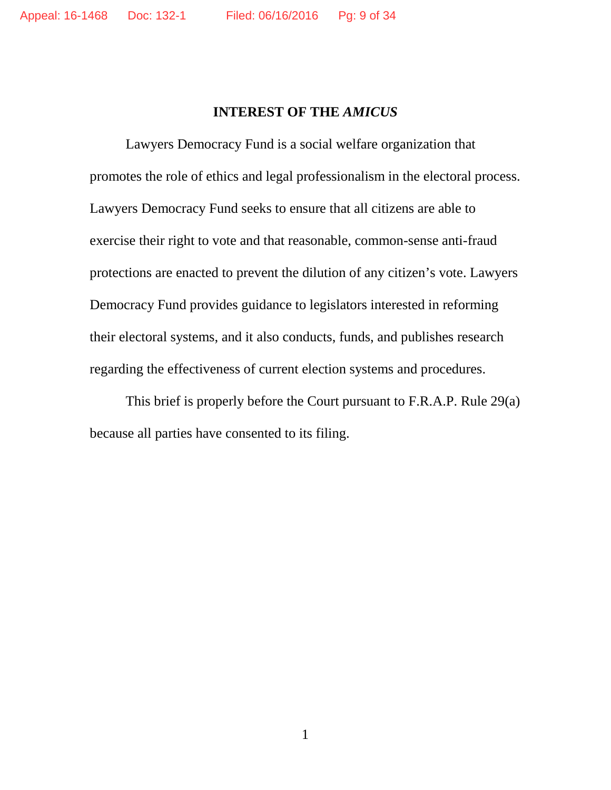# **INTEREST OF THE** *AMICUS*

Lawyers Democracy Fund is a social welfare organization that promotes the role of ethics and legal professionalism in the electoral process. Lawyers Democracy Fund seeks to ensure that all citizens are able to exercise their right to vote and that reasonable, common-sense anti-fraud protections are enacted to prevent the dilution of any citizen's vote. Lawyers Democracy Fund provides guidance to legislators interested in reforming their electoral systems, and it also conducts, funds, and publishes research regarding the effectiveness of current election systems and procedures.

This brief is properly before the Court pursuant to F.R.A.P. Rule 29(a) because all parties have consented to its filing.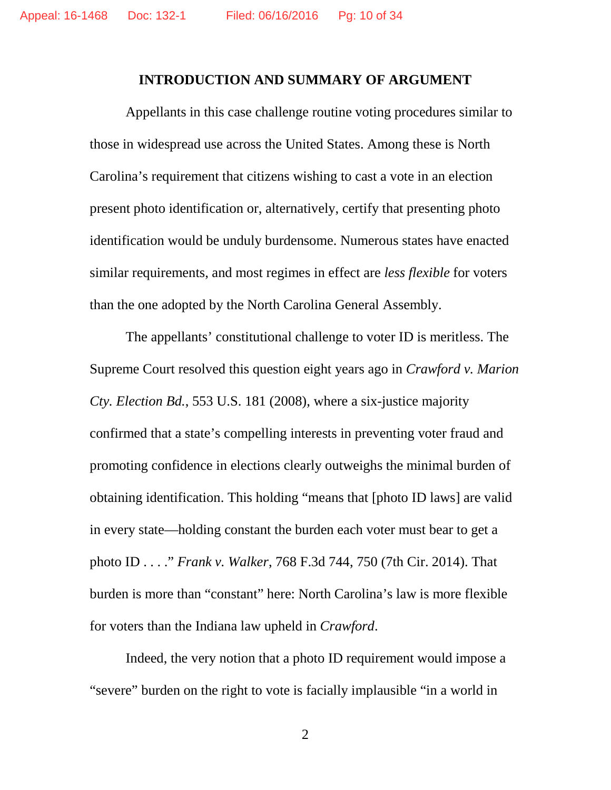#### **INTRODUCTION AND SUMMARY OF ARGUMENT**

Appellants in this case challenge routine voting procedures similar to those in widespread use across the United States. Among these is North Carolina's requirement that citizens wishing to cast a vote in an election present photo identification or, alternatively, certify that presenting photo identification would be unduly burdensome. Numerous states have enacted similar requirements, and most regimes in effect are *less flexible* for voters than the one adopted by the North Carolina General Assembly.

The appellants' constitutional challenge to voter ID is meritless. The Supreme Court resolved this question eight years ago in *Crawford v. Marion Cty. Election Bd.*, 553 U.S. 181 (2008), where a six-justice majority confirmed that a state's compelling interests in preventing voter fraud and promoting confidence in elections clearly outweighs the minimal burden of obtaining identification. This holding "means that [photo ID laws] are valid in every state—holding constant the burden each voter must bear to get a photo ID . . . ." *Frank v. Walker*, 768 F.3d 744, 750 (7th Cir. 2014). That burden is more than "constant" here: North Carolina's law is more flexible for voters than the Indiana law upheld in *Crawford*.

Indeed, the very notion that a photo ID requirement would impose a "severe" burden on the right to vote is facially implausible "in a world in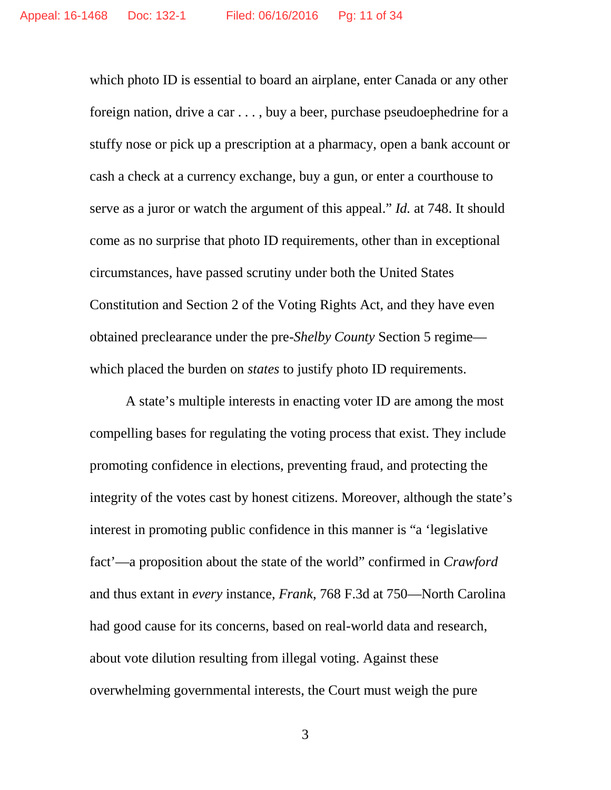which photo ID is essential to board an airplane, enter Canada or any other foreign nation, drive a car . . . , buy a beer, purchase pseudoephedrine for a stuffy nose or pick up a prescription at a pharmacy, open a bank account or cash a check at a currency exchange, buy a gun, or enter a courthouse to serve as a juror or watch the argument of this appeal." *Id.* at 748. It should come as no surprise that photo ID requirements, other than in exceptional circumstances, have passed scrutiny under both the United States Constitution and Section 2 of the Voting Rights Act, and they have even obtained preclearance under the pre-*Shelby County* Section 5 regime which placed the burden on *states* to justify photo ID requirements.

A state's multiple interests in enacting voter ID are among the most compelling bases for regulating the voting process that exist. They include promoting confidence in elections, preventing fraud, and protecting the integrity of the votes cast by honest citizens. Moreover, although the state's interest in promoting public confidence in this manner is "a 'legislative fact'—a proposition about the state of the world" confirmed in *Crawford* and thus extant in *every* instance, *Frank*, 768 F.3d at 750—North Carolina had good cause for its concerns, based on real-world data and research, about vote dilution resulting from illegal voting. Against these overwhelming governmental interests, the Court must weigh the pure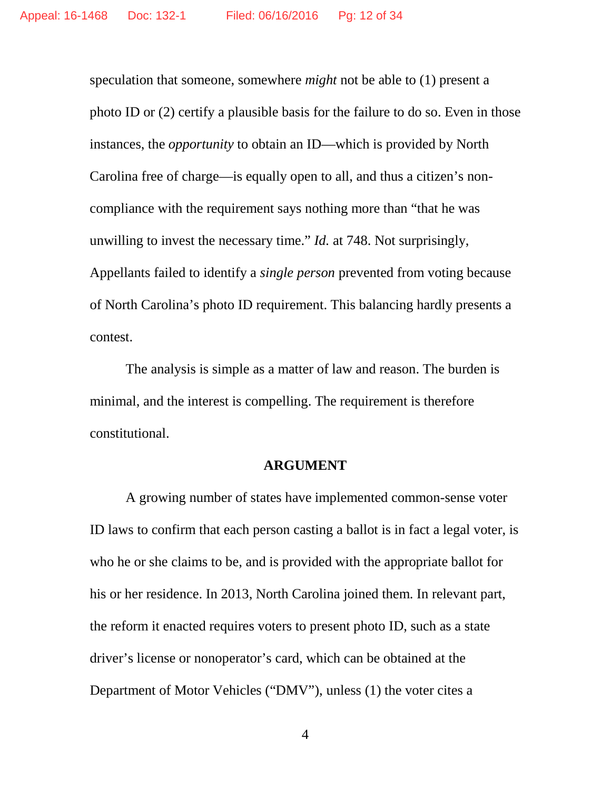speculation that someone, somewhere *might* not be able to (1) present a photo ID or (2) certify a plausible basis for the failure to do so. Even in those instances, the *opportunity* to obtain an ID—which is provided by North Carolina free of charge—is equally open to all, and thus a citizen's noncompliance with the requirement says nothing more than "that he was unwilling to invest the necessary time." *Id.* at 748. Not surprisingly, Appellants failed to identify a *single person* prevented from voting because of North Carolina's photo ID requirement. This balancing hardly presents a contest.

The analysis is simple as a matter of law and reason. The burden is minimal, and the interest is compelling. The requirement is therefore constitutional.

#### **ARGUMENT**

A growing number of states have implemented common-sense voter ID laws to confirm that each person casting a ballot is in fact a legal voter, is who he or she claims to be, and is provided with the appropriate ballot for his or her residence. In 2013, North Carolina joined them. In relevant part, the reform it enacted requires voters to present photo ID, such as a state driver's license or nonoperator's card, which can be obtained at the Department of Motor Vehicles ("DMV"), unless (1) the voter cites a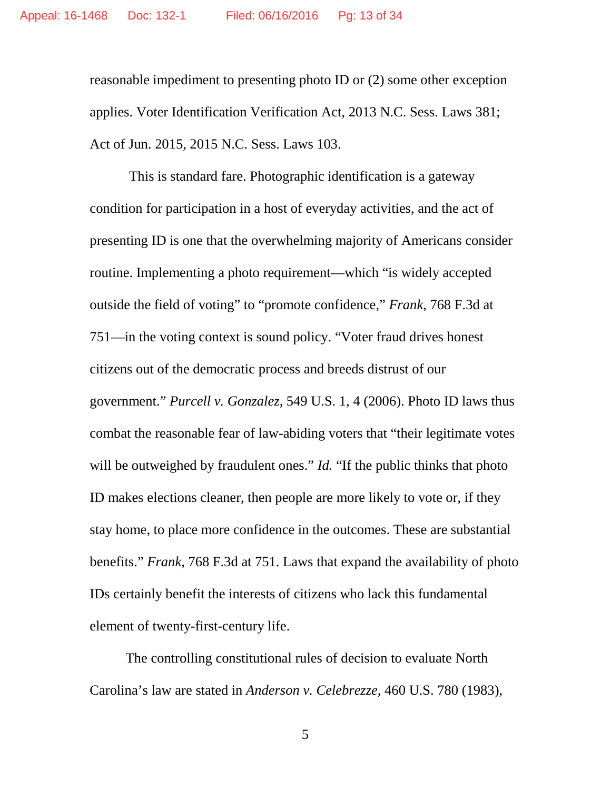reasonable impediment to presenting photo ID or (2) some other exception applies. Voter Identification Verification Act, 2013 N.C. Sess. Laws 381; Act of Jun. 2015, 2015 N.C. Sess. Laws 103.

This is standard fare. Photographic identification is a gateway condition for participation in a host of everyday activities, and the act of presenting ID is one that the overwhelming majority of Americans consider routine. Implementing a photo requirement—which "is widely accepted outside the field of voting" to "promote confidence," *Frank*, 768 F.3d at 751—in the voting context is sound policy. "Voter fraud drives honest citizens out of the democratic process and breeds distrust of our government." *Purcell v. Gonzalez*, 549 U.S. 1, 4 (2006). Photo ID laws thus combat the reasonable fear of law-abiding voters that "their legitimate votes will be outweighed by fraudulent ones." *Id.* "If the public thinks that photo ID makes elections cleaner, then people are more likely to vote or, if they stay home, to place more confidence in the outcomes. These are substantial benefits." *Frank*, 768 F.3d at 751. Laws that expand the availability of photo IDs certainly benefit the interests of citizens who lack this fundamental element of twenty-first-century life.

The controlling constitutional rules of decision to evaluate North Carolina's law are stated in *Anderson v. Celebrezze*, 460 U.S. 780 (1983),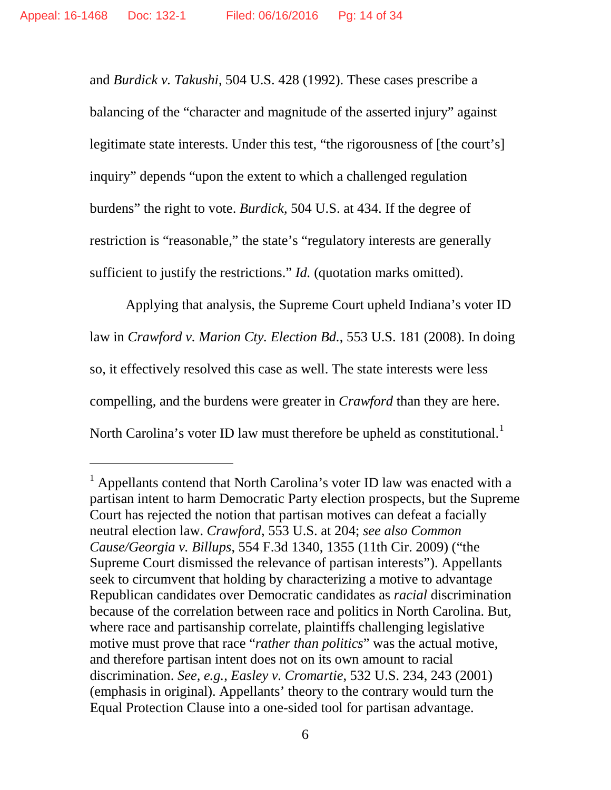$\overline{a}$ 

and *Burdick v. Takushi*, 504 U.S. 428 (1992). These cases prescribe a balancing of the "character and magnitude of the asserted injury" against legitimate state interests. Under this test, "the rigorousness of [the court's] inquiry" depends "upon the extent to which a challenged regulation burdens" the right to vote. *Burdick*, 504 U.S. at 434. If the degree of restriction is "reasonable," the state's "regulatory interests are generally sufficient to justify the restrictions." *Id.* (quotation marks omitted).

Applying that analysis, the Supreme Court upheld Indiana's voter ID law in *Crawford v. Marion Cty. Election Bd.*, 553 U.S. 181 (2008). In doing so, it effectively resolved this case as well. The state interests were less compelling, and the burdens were greater in *Crawford* than they are here. North Carolina's voter ID law must therefore be upheld as constitutional.<sup>[1](#page-13-0)</sup>

<span id="page-13-0"></span> $<sup>1</sup>$  Appellants contend that North Carolina's voter ID law was enacted with a</sup> partisan intent to harm Democratic Party election prospects, but the Supreme Court has rejected the notion that partisan motives can defeat a facially neutral election law. *Crawford*, 553 U.S. at 204; *see also Common Cause/Georgia v. Billups*, 554 F.3d 1340, 1355 (11th Cir. 2009) ("the Supreme Court dismissed the relevance of partisan interests"). Appellants seek to circumvent that holding by characterizing a motive to advantage Republican candidates over Democratic candidates as *racial* discrimination because of the correlation between race and politics in North Carolina. But, where race and partisanship correlate, plaintiffs challenging legislative motive must prove that race "*rather than politics*" was the actual motive, and therefore partisan intent does not on its own amount to racial discrimination. *See, e.g.*, *Easley v. Cromartie*, 532 U.S. 234, 243 (2001) (emphasis in original). Appellants' theory to the contrary would turn the Equal Protection Clause into a one-sided tool for partisan advantage.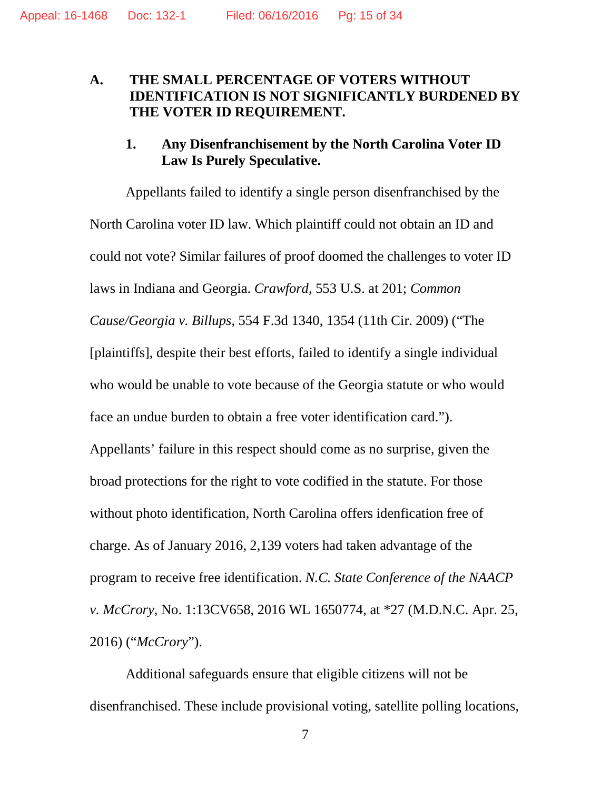## **A. THE SMALL PERCENTAGE OF VOTERS WITHOUT IDENTIFICATION IS NOT SIGNIFICANTLY BURDENED BY THE VOTER ID REQUIREMENT.**

### **1. Any Disenfranchisement by the North Carolina Voter ID Law Is Purely Speculative.**

Appellants failed to identify a single person disenfranchised by the North Carolina voter ID law. Which plaintiff could not obtain an ID and could not vote? Similar failures of proof doomed the challenges to voter ID laws in Indiana and Georgia. *Crawford*, 553 U.S. at 201; *Common Cause/Georgia v. Billups*, 554 F.3d 1340, 1354 (11th Cir. 2009) ("The [plaintiffs], despite their best efforts, failed to identify a single individual who would be unable to vote because of the Georgia statute or who would face an undue burden to obtain a free voter identification card."). Appellants' failure in this respect should come as no surprise, given the broad protections for the right to vote codified in the statute. For those without photo identification, North Carolina offers idenfication free of charge. As of January 2016, 2,139 voters had taken advantage of the program to receive free identification. *N.C. State Conference of the NAACP v. McCrory*, No. 1:13CV658, 2016 WL 1650774, at \*27 (M.D.N.C. Apr. 25, 2016) ("*McCrory*").

Additional safeguards ensure that eligible citizens will not be disenfranchised. These include provisional voting, satellite polling locations,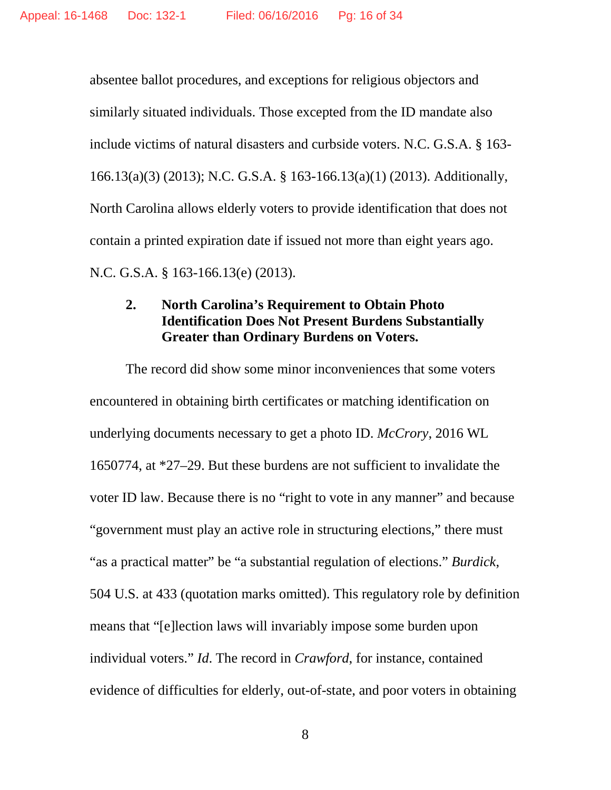absentee ballot procedures, and exceptions for religious objectors and similarly situated individuals. Those excepted from the ID mandate also include victims of natural disasters and curbside voters. N.C. G.S.A. § 163- 166.13(a)(3) (2013); N.C. G.S.A. § 163-166.13(a)(1) (2013). Additionally, North Carolina allows elderly voters to provide identification that does not contain a printed expiration date if issued not more than eight years ago. N.C. G.S.A. § 163-166.13(e) (2013).

## **2. North Carolina's Requirement to Obtain Photo Identification Does Not Present Burdens Substantially Greater than Ordinary Burdens on Voters.**

The record did show some minor inconveniences that some voters encountered in obtaining birth certificates or matching identification on underlying documents necessary to get a photo ID. *McCrory*, 2016 WL 1650774, at \*27–29. But these burdens are not sufficient to invalidate the voter ID law. Because there is no "right to vote in any manner" and because "government must play an active role in structuring elections," there must "as a practical matter" be "a substantial regulation of elections." *Burdick*, 504 U.S. at 433 (quotation marks omitted). This regulatory role by definition means that "[e]lection laws will invariably impose some burden upon individual voters." *Id*. The record in *Crawford*, for instance, contained evidence of difficulties for elderly, out-of-state, and poor voters in obtaining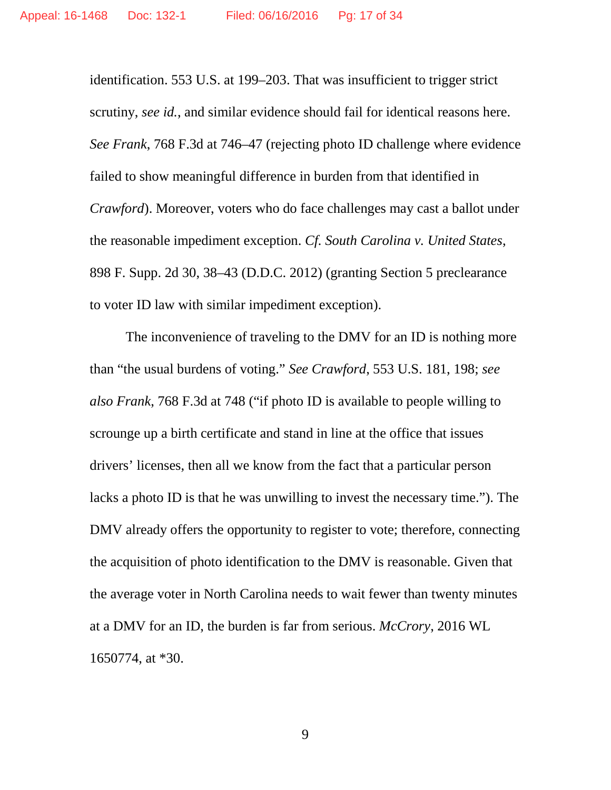identification. 553 U.S. at 199–203. That was insufficient to trigger strict scrutiny, *see id.*, and similar evidence should fail for identical reasons here. *See Frank*, 768 F.3d at 746–47 (rejecting photo ID challenge where evidence failed to show meaningful difference in burden from that identified in *Crawford*). Moreover, voters who do face challenges may cast a ballot under the reasonable impediment exception. *Cf. South Carolina v. United States*, 898 F. Supp. 2d 30, 38–43 (D.D.C. 2012) (granting Section 5 preclearance to voter ID law with similar impediment exception).

The inconvenience of traveling to the DMV for an ID is nothing more than "the usual burdens of voting." *See Crawford*, 553 U.S. 181, 198; *see also Frank*, 768 F.3d at 748 ("if photo ID is available to people willing to scrounge up a birth certificate and stand in line at the office that issues drivers' licenses, then all we know from the fact that a particular person lacks a photo ID is that he was unwilling to invest the necessary time."). The DMV already offers the opportunity to register to vote; therefore, connecting the acquisition of photo identification to the DMV is reasonable. Given that the average voter in North Carolina needs to wait fewer than twenty minutes at a DMV for an ID, the burden is far from serious. *McCrory*, 2016 WL 1650774, at \*30.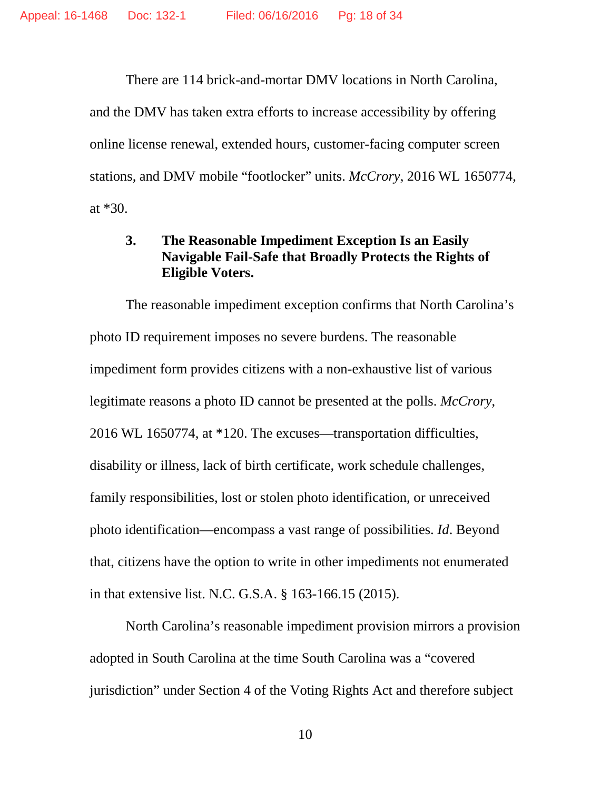There are 114 brick-and-mortar DMV locations in North Carolina, and the DMV has taken extra efforts to increase accessibility by offering online license renewal, extended hours, customer-facing computer screen stations, and DMV mobile "footlocker" units. *McCrory*, 2016 WL 1650774, at \*30.

## **3. The Reasonable Impediment Exception Is an Easily Navigable Fail-Safe that Broadly Protects the Rights of Eligible Voters.**

The reasonable impediment exception confirms that North Carolina's photo ID requirement imposes no severe burdens. The reasonable impediment form provides citizens with a non-exhaustive list of various legitimate reasons a photo ID cannot be presented at the polls. *McCrory*, 2016 WL 1650774, at \*120. The excuses—transportation difficulties, disability or illness, lack of birth certificate, work schedule challenges, family responsibilities, lost or stolen photo identification, or unreceived photo identification—encompass a vast range of possibilities. *Id*. Beyond that, citizens have the option to write in other impediments not enumerated in that extensive list. N.C. G.S.A. § 163-166.15 (2015).

North Carolina's reasonable impediment provision mirrors a provision adopted in South Carolina at the time South Carolina was a "covered jurisdiction" under Section 4 of the Voting Rights Act and therefore subject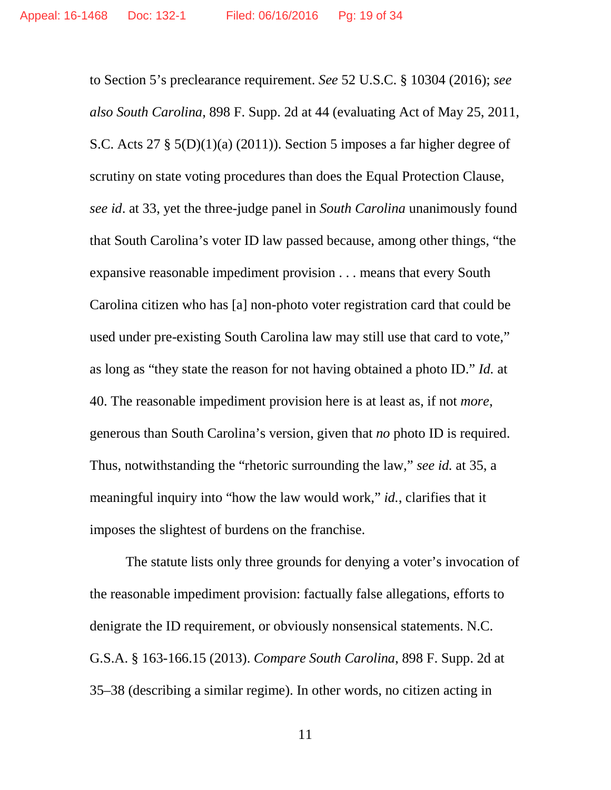to Section 5's preclearance requirement. *See* 52 U.S.C. § 10304 (2016); *see also South Carolina*, 898 F. Supp. 2d at 44 (evaluating Act of May 25, 2011, S.C. Acts 27 § 5(D)(1)(a) (2011)). Section 5 imposes a far higher degree of scrutiny on state voting procedures than does the Equal Protection Clause, *see id*. at 33, yet the three-judge panel in *South Carolina* unanimously found that South Carolina's voter ID law passed because, among other things, "the expansive reasonable impediment provision . . . means that every South Carolina citizen who has [a] non-photo voter registration card that could be used under pre-existing South Carolina law may still use that card to vote," as long as "they state the reason for not having obtained a photo ID." *Id.* at 40. The reasonable impediment provision here is at least as, if not *more*, generous than South Carolina's version, given that *no* photo ID is required. Thus, notwithstanding the "rhetoric surrounding the law," *see id.* at 35, a meaningful inquiry into "how the law would work," *id.*, clarifies that it imposes the slightest of burdens on the franchise.

The statute lists only three grounds for denying a voter's invocation of the reasonable impediment provision: factually false allegations, efforts to denigrate the ID requirement, or obviously nonsensical statements. N.C. G.S.A. § 163-166.15 (2013). *Compare South Carolina*, 898 F. Supp. 2d at 35–38 (describing a similar regime). In other words, no citizen acting in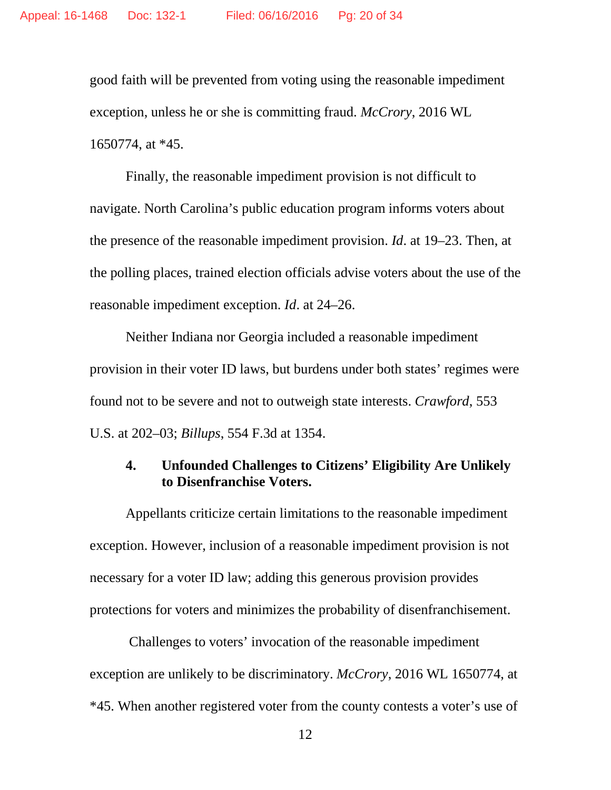good faith will be prevented from voting using the reasonable impediment exception, unless he or she is committing fraud. *McCrory*, 2016 WL 1650774, at \*45.

Finally, the reasonable impediment provision is not difficult to navigate. North Carolina's public education program informs voters about the presence of the reasonable impediment provision. *Id*. at 19–23. Then, at the polling places, trained election officials advise voters about the use of the reasonable impediment exception. *Id*. at 24–26.

Neither Indiana nor Georgia included a reasonable impediment provision in their voter ID laws, but burdens under both states' regimes were found not to be severe and not to outweigh state interests. *Crawford*, 553 U.S. at 202–03; *Billups*, 554 F.3d at 1354.

### **4. Unfounded Challenges to Citizens' Eligibility Are Unlikely to Disenfranchise Voters.**

Appellants criticize certain limitations to the reasonable impediment exception. However, inclusion of a reasonable impediment provision is not necessary for a voter ID law; adding this generous provision provides protections for voters and minimizes the probability of disenfranchisement.

Challenges to voters' invocation of the reasonable impediment exception are unlikely to be discriminatory. *McCrory*, 2016 WL 1650774, at \*45. When another registered voter from the county contests a voter's use of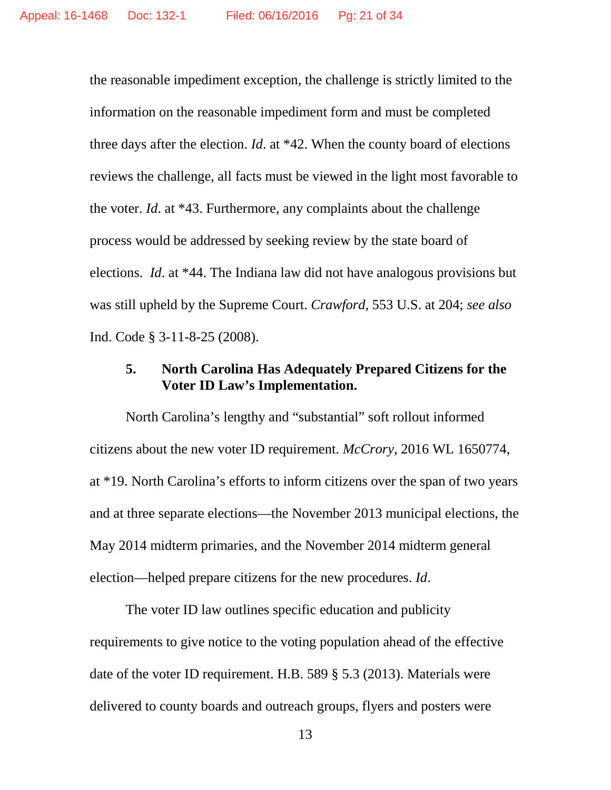the reasonable impediment exception, the challenge is strictly limited to the information on the reasonable impediment form and must be completed three days after the election. *Id*. at \*42. When the county board of elections reviews the challenge, all facts must be viewed in the light most favorable to the voter. *Id*. at \*43. Furthermore, any complaints about the challenge process would be addressed by seeking review by the state board of elections. *Id*. at \*44. The Indiana law did not have analogous provisions but was still upheld by the Supreme Court. *Crawford*, 553 U.S. at 204; *see also* Ind. Code § 3-11-8-25 (2008).

## **5. North Carolina Has Adequately Prepared Citizens for the Voter ID Law's Implementation.**

North Carolina's lengthy and "substantial" soft rollout informed citizens about the new voter ID requirement. *McCrory*, 2016 WL 1650774, at \*19. North Carolina's efforts to inform citizens over the span of two years and at three separate elections—the November 2013 municipal elections, the May 2014 midterm primaries, and the November 2014 midterm general election—helped prepare citizens for the new procedures. *Id*.

The voter ID law outlines specific education and publicity requirements to give notice to the voting population ahead of the effective date of the voter ID requirement. H.B. 589 § 5.3 (2013). Materials were delivered to county boards and outreach groups, flyers and posters were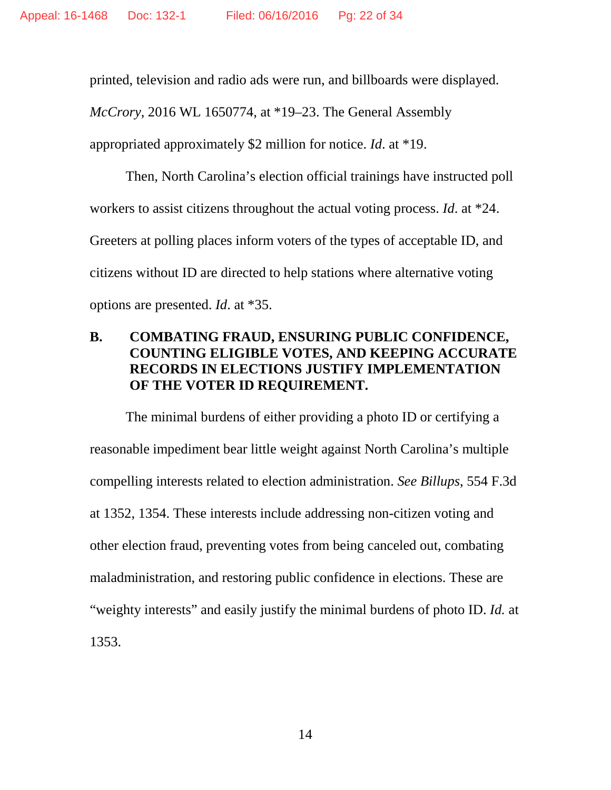printed, television and radio ads were run, and billboards were displayed.

*McCrory*, 2016 WL 1650774, at \*19–23. The General Assembly

appropriated approximately \$2 million for notice. *Id*. at \*19.

Then, North Carolina's election official trainings have instructed poll workers to assist citizens throughout the actual voting process. *Id*. at \*24. Greeters at polling places inform voters of the types of acceptable ID, and citizens without ID are directed to help stations where alternative voting options are presented. *Id*. at \*35.

# **B. COMBATING FRAUD, ENSURING PUBLIC CONFIDENCE, COUNTING ELIGIBLE VOTES, AND KEEPING ACCURATE RECORDS IN ELECTIONS JUSTIFY IMPLEMENTATION OF THE VOTER ID REQUIREMENT.**

The minimal burdens of either providing a photo ID or certifying a reasonable impediment bear little weight against North Carolina's multiple compelling interests related to election administration. *See Billups*, 554 F.3d at 1352, 1354. These interests include addressing non-citizen voting and other election fraud, preventing votes from being canceled out, combating maladministration, and restoring public confidence in elections. These are "weighty interests" and easily justify the minimal burdens of photo ID. *Id.* at 1353.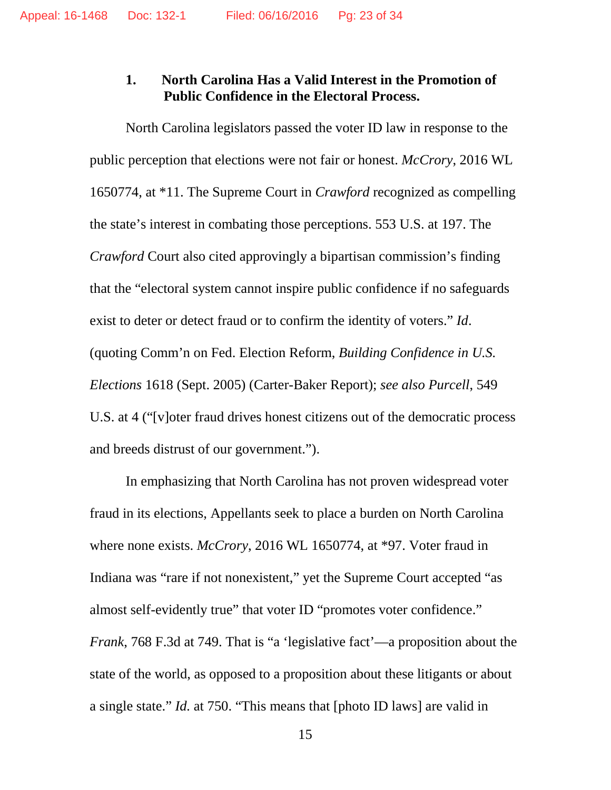#### **1. North Carolina Has a Valid Interest in the Promotion of Public Confidence in the Electoral Process.**

North Carolina legislators passed the voter ID law in response to the public perception that elections were not fair or honest. *McCrory*, 2016 WL 1650774, at \*11. The Supreme Court in *Crawford* recognized as compelling the state's interest in combating those perceptions. 553 U.S. at 197. The *Crawford* Court also cited approvingly a bipartisan commission's finding that the "electoral system cannot inspire public confidence if no safeguards exist to deter or detect fraud or to confirm the identity of voters." *Id*. (quoting Comm'n on Fed. Election Reform, *Building Confidence in U.S. Elections* 1618 (Sept. 2005) (Carter-Baker Report); *see also Purcell*, 549 U.S. at 4 ("[v]oter fraud drives honest citizens out of the democratic process and breeds distrust of our government.").

In emphasizing that North Carolina has not proven widespread voter fraud in its elections, Appellants seek to place a burden on North Carolina where none exists. *McCrory*, 2016 WL 1650774, at \*97. Voter fraud in Indiana was "rare if not nonexistent," yet the Supreme Court accepted "as almost self-evidently true" that voter ID "promotes voter confidence." *Frank*, 768 F.3d at 749. That is "a 'legislative fact'—a proposition about the state of the world, as opposed to a proposition about these litigants or about a single state." *Id.* at 750. "This means that [photo ID laws] are valid in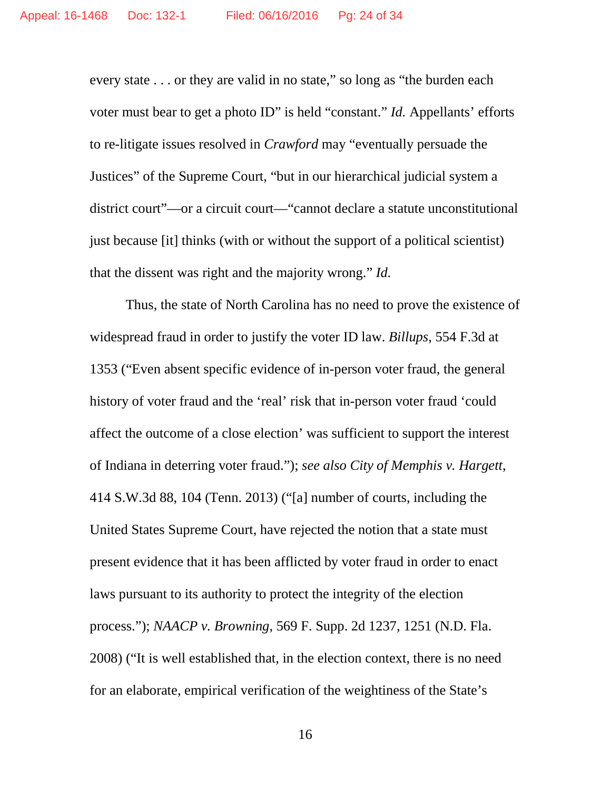every state . . . or they are valid in no state," so long as "the burden each voter must bear to get a photo ID" is held "constant." *Id.* Appellants' efforts to re-litigate issues resolved in *Crawford* may "eventually persuade the Justices" of the Supreme Court, "but in our hierarchical judicial system a district court"—or a circuit court—"cannot declare a statute unconstitutional just because [it] thinks (with or without the support of a political scientist) that the dissent was right and the majority wrong." *Id.*

Thus, the state of North Carolina has no need to prove the existence of widespread fraud in order to justify the voter ID law. *Billups*, 554 F.3d at 1353 ("Even absent specific evidence of in-person voter fraud, the general history of voter fraud and the 'real' risk that in-person voter fraud 'could affect the outcome of a close election' was sufficient to support the interest of Indiana in deterring voter fraud."); *see also City of Memphis v. Hargett*, 414 S.W.3d 88, 104 (Tenn. 2013) ("[a] number of courts, including the United States Supreme Court, have rejected the notion that a state must present evidence that it has been afflicted by voter fraud in order to enact laws pursuant to its authority to protect the integrity of the election process."); *NAACP v. Browning*, 569 F. Supp. 2d 1237, 1251 (N.D. Fla. 2008) ("It is well established that, in the election context, there is no need for an elaborate, empirical verification of the weightiness of the State's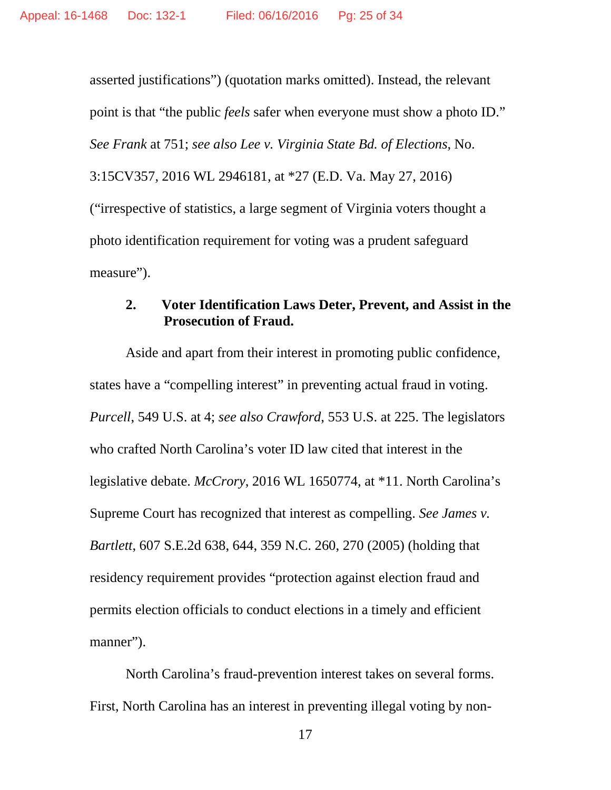asserted justifications") (quotation marks omitted). Instead, the relevant point is that "the public *feels* safer when everyone must show a photo ID." *See Frank* at 751; *see also Lee v. Virginia State Bd. of Elections*, No. 3:15CV357, 2016 WL 2946181, at \*27 (E.D. Va. May 27, 2016) ("irrespective of statistics, a large segment of Virginia voters thought a photo identification requirement for voting was a prudent safeguard measure").

### **2. Voter Identification Laws Deter, Prevent, and Assist in the Prosecution of Fraud.**

Aside and apart from their interest in promoting public confidence, states have a "compelling interest" in preventing actual fraud in voting. *Purcell*, 549 U.S. at 4; *see also Crawford*, 553 U.S. at 225. The legislators who crafted North Carolina's voter ID law cited that interest in the legislative debate. *McCrory*, 2016 WL 1650774, at \*11. North Carolina's Supreme Court has recognized that interest as compelling. *See James v. Bartlett*, 607 S.E.2d 638, 644, 359 N.C. 260, 270 (2005) (holding that residency requirement provides "protection against election fraud and permits election officials to conduct elections in a timely and efficient manner").

North Carolina's fraud-prevention interest takes on several forms. First, North Carolina has an interest in preventing illegal voting by non-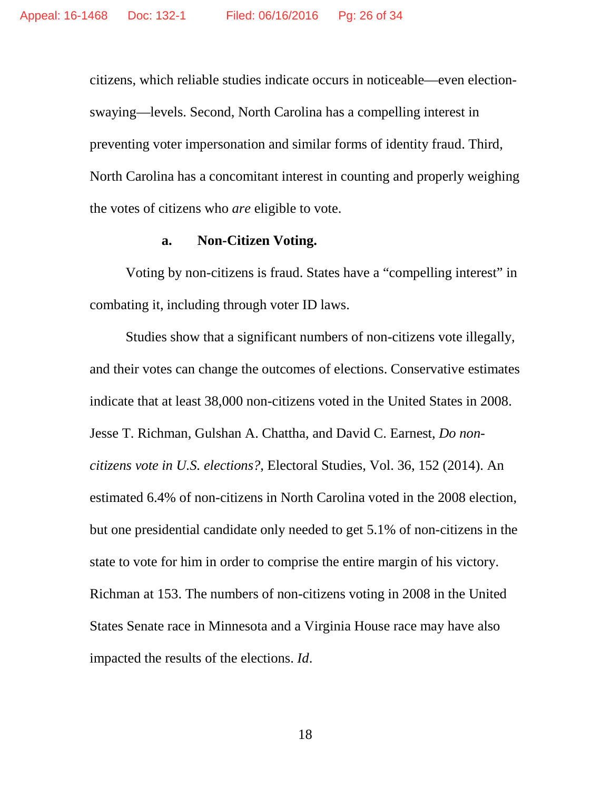citizens, which reliable studies indicate occurs in noticeable—even electionswaying—levels. Second, North Carolina has a compelling interest in preventing voter impersonation and similar forms of identity fraud. Third, North Carolina has a concomitant interest in counting and properly weighing the votes of citizens who *are* eligible to vote.

#### **a. Non-Citizen Voting.**

Voting by non-citizens is fraud. States have a "compelling interest" in combating it, including through voter ID laws.

Studies show that a significant numbers of non-citizens vote illegally, and their votes can change the outcomes of elections. Conservative estimates indicate that at least 38,000 non-citizens voted in the United States in 2008. Jesse T. Richman, Gulshan A. Chattha, and David C. Earnest, *Do noncitizens vote in U.S. elections?*, Electoral Studies, Vol. 36, 152 (2014). An estimated 6.4% of non-citizens in North Carolina voted in the 2008 election, but one presidential candidate only needed to get 5.1% of non-citizens in the state to vote for him in order to comprise the entire margin of his victory. Richman at 153. The numbers of non-citizens voting in 2008 in the United States Senate race in Minnesota and a Virginia House race may have also impacted the results of the elections. *Id*.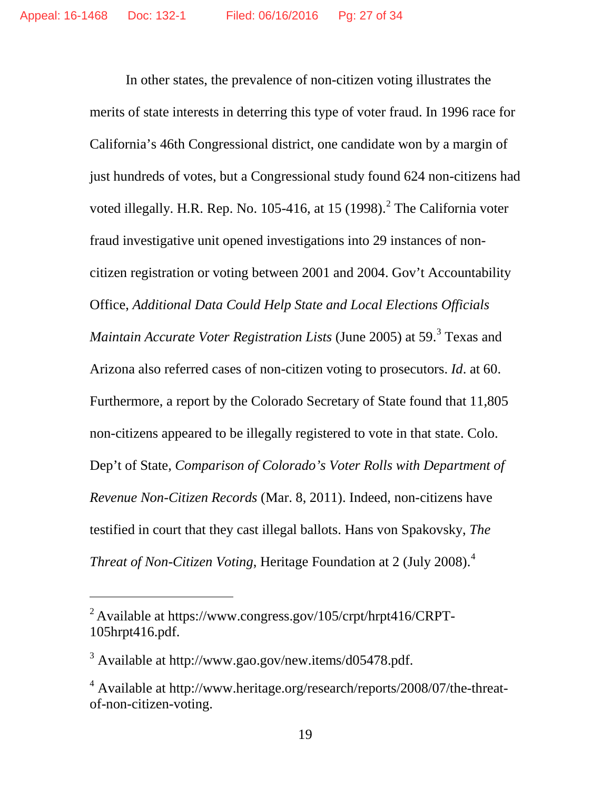In other states, the prevalence of non-citizen voting illustrates the merits of state interests in deterring this type of voter fraud. In 1996 race for California's 46th Congressional district, one candidate won by a margin of just hundreds of votes, but a Congressional study found 624 non-citizens had voted illegally. H.R. Rep. No. 105-416, at 15 (1998).<sup>[2](#page-26-0)</sup> The California voter fraud investigative unit opened investigations into 29 instances of noncitizen registration or voting between 2001 and 2004. Gov't Accountability Office, *Additional Data Could Help State and Local Elections Officials Maintain Accurate Voter Registration Lists* (June 2005) at 59.<sup>[3](#page-26-1)</sup> Texas and Arizona also referred cases of non-citizen voting to prosecutors. *Id*. at 60. Furthermore, a report by the Colorado Secretary of State found that 11,805 non-citizens appeared to be illegally registered to vote in that state. Colo. Dep't of State, *Comparison of Colorado's Voter Rolls with Department of Revenue Non-Citizen Records* (Mar. 8, 2011). Indeed, non-citizens have testified in court that they cast illegal ballots. Hans von Spakovsky, *The Threat of Non-Citizen Voting*, Heritage Foundation at 2 (July 2008). [4](#page-26-2)

 $\overline{a}$ 

<span id="page-26-0"></span> $^{2}$  Available at https://www.congress.gov/105/crpt/hrpt416/CRPT-105hrpt416.pdf.

<span id="page-26-1"></span><sup>&</sup>lt;sup>3</sup> Available at http://www.gao.gov/new.items/d05478.pdf.

<span id="page-26-2"></span><sup>4</sup> Available at http://www.heritage.org/research/reports/2008/07/the-threatof-non-citizen-voting.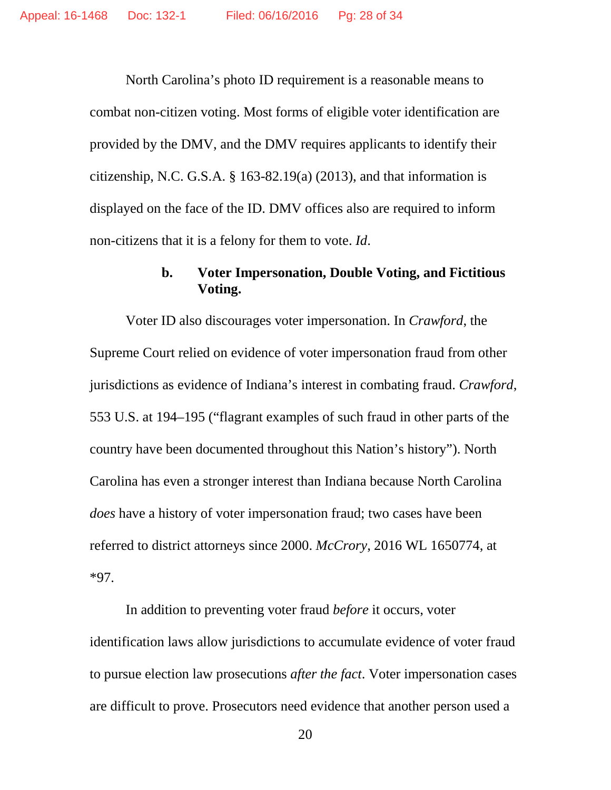North Carolina's photo ID requirement is a reasonable means to combat non-citizen voting. Most forms of eligible voter identification are provided by the DMV, and the DMV requires applicants to identify their citizenship, N.C. G.S.A. § 163-82.19(a) (2013), and that information is displayed on the face of the ID. DMV offices also are required to inform non-citizens that it is a felony for them to vote. *Id*.

# **b. Voter Impersonation, Double Voting, and Fictitious Voting.**

Voter ID also discourages voter impersonation. In *Crawford*, the Supreme Court relied on evidence of voter impersonation fraud from other jurisdictions as evidence of Indiana's interest in combating fraud. *Crawford*, 553 U.S. at 194–195 ("flagrant examples of such fraud in other parts of the country have been documented throughout this Nation's history"). North Carolina has even a stronger interest than Indiana because North Carolina *does* have a history of voter impersonation fraud; two cases have been referred to district attorneys since 2000. *McCrory*, 2016 WL 1650774, at \*97.

In addition to preventing voter fraud *before* it occurs, voter identification laws allow jurisdictions to accumulate evidence of voter fraud to pursue election law prosecutions *after the fact*. Voter impersonation cases are difficult to prove. Prosecutors need evidence that another person used a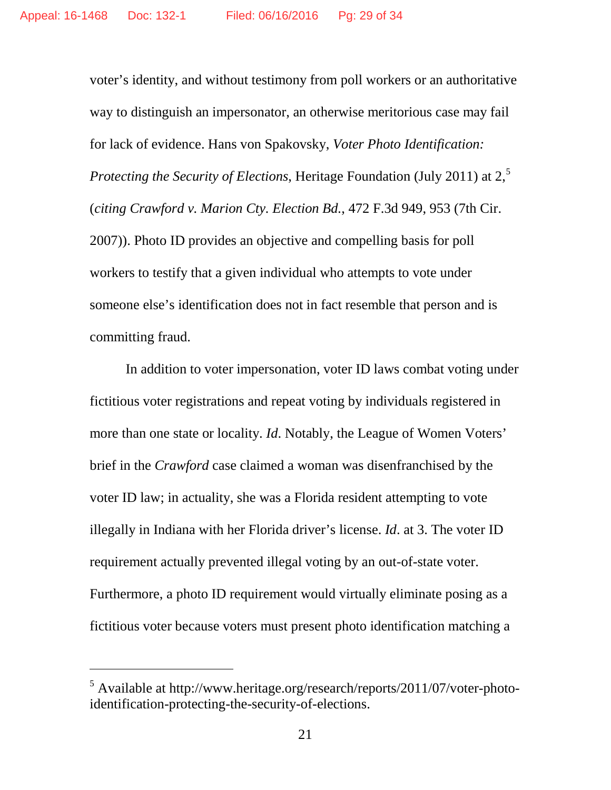voter's identity, and without testimony from poll workers or an authoritative way to distinguish an impersonator, an otherwise meritorious case may fail for lack of evidence. Hans von Spakovsky, *Voter Photo Identification: Protecting the Security of Elections*, Heritage Foundation (July 2011) at 2,<sup>[5](#page-28-0)</sup> (*citing Crawford v. Marion Cty. Election Bd.*, 472 F.3d 949, 953 (7th Cir. 2007)). Photo ID provides an objective and compelling basis for poll workers to testify that a given individual who attempts to vote under someone else's identification does not in fact resemble that person and is committing fraud.

In addition to voter impersonation, voter ID laws combat voting under fictitious voter registrations and repeat voting by individuals registered in more than one state or locality. *Id*. Notably, the League of Women Voters' brief in the *Crawford* case claimed a woman was disenfranchised by the voter ID law; in actuality, she was a Florida resident attempting to vote illegally in Indiana with her Florida driver's license. *Id*. at 3. The voter ID requirement actually prevented illegal voting by an out-of-state voter. Furthermore, a photo ID requirement would virtually eliminate posing as a fictitious voter because voters must present photo identification matching a

 $\overline{a}$ 

<span id="page-28-0"></span><sup>5</sup> Available at http://www.heritage.org/research/reports/2011/07/voter-photoidentification-protecting-the-security-of-elections.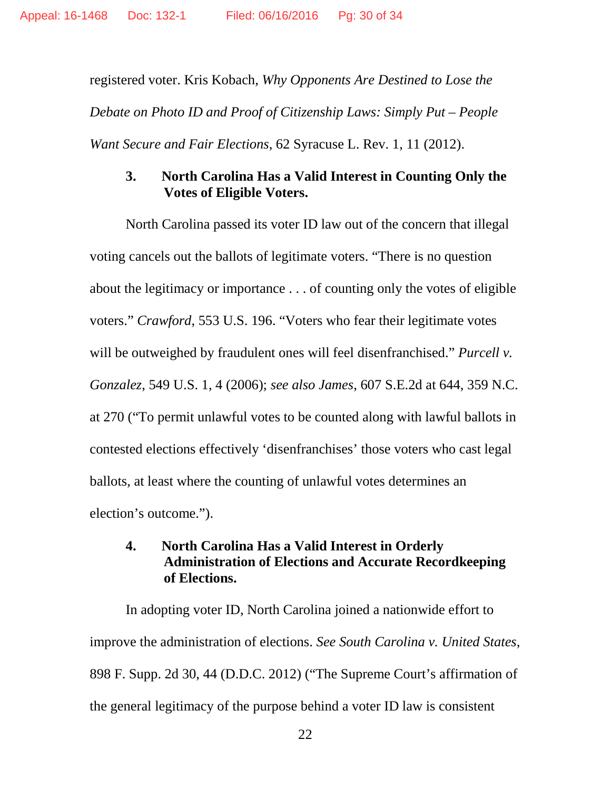registered voter. Kris Kobach, *Why Opponents Are Destined to Lose the Debate on Photo ID and Proof of Citizenship Laws: Simply Put – People Want Secure and Fair Elections*, 62 Syracuse L. Rev. 1, 11 (2012).

# **3. North Carolina Has a Valid Interest in Counting Only the Votes of Eligible Voters.**

North Carolina passed its voter ID law out of the concern that illegal voting cancels out the ballots of legitimate voters. "There is no question about the legitimacy or importance . . . of counting only the votes of eligible voters." *Crawford*, 553 U.S. 196. "Voters who fear their legitimate votes will be outweighed by fraudulent ones will feel disenfranchised." *Purcell v. Gonzalez*, 549 U.S. 1, 4 (2006); *see also James*, 607 S.E.2d at 644, 359 N.C. at 270 ("To permit unlawful votes to be counted along with lawful ballots in contested elections effectively 'disenfranchises' those voters who cast legal ballots, at least where the counting of unlawful votes determines an election's outcome.").

# **4. North Carolina Has a Valid Interest in Orderly Administration of Elections and Accurate Recordkeeping of Elections.**

In adopting voter ID, North Carolina joined a nationwide effort to improve the administration of elections. *See South Carolina v. United States*, 898 F. Supp. 2d 30, 44 (D.D.C. 2012) ("The Supreme Court's affirmation of the general legitimacy of the purpose behind a voter ID law is consistent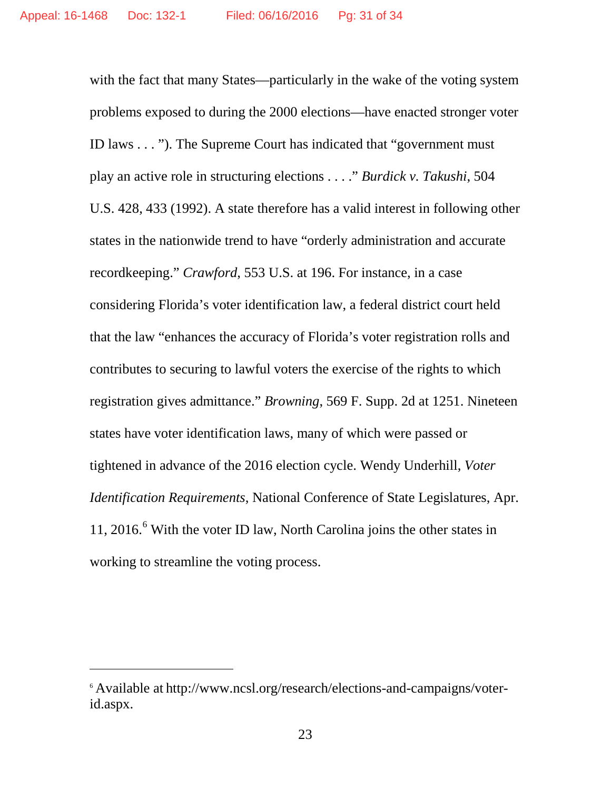with the fact that many States—particularly in the wake of the voting system problems exposed to during the 2000 elections—have enacted stronger voter ID laws . . . "). The Supreme Court has indicated that "government must play an active role in structuring elections . . . ." *Burdick v. Takushi*, 504 U.S. 428, 433 (1992). A state therefore has a valid interest in following other states in the nationwide trend to have "orderly administration and accurate recordkeeping." *Crawford*, 553 U.S. at 196. For instance, in a case considering Florida's voter identification law, a federal district court held that the law "enhances the accuracy of Florida's voter registration rolls and contributes to securing to lawful voters the exercise of the rights to which registration gives admittance." *Browning*, 569 F. Supp. 2d at 1251. Nineteen states have voter identification laws, many of which were passed or tightened in advance of the 2016 election cycle. Wendy Underhill, *Voter Identification Requirements*, National Conference of State Legislatures, Apr. 11, 201[6](#page-30-0). $<sup>6</sup>$  With the voter ID law, North Carolina joins the other states in</sup> working to streamline the voting process.

 $\overline{a}$ 

<span id="page-30-0"></span><sup>6</sup> Available at http://www.ncsl.org/research/elections-and-campaigns/voterid.aspx.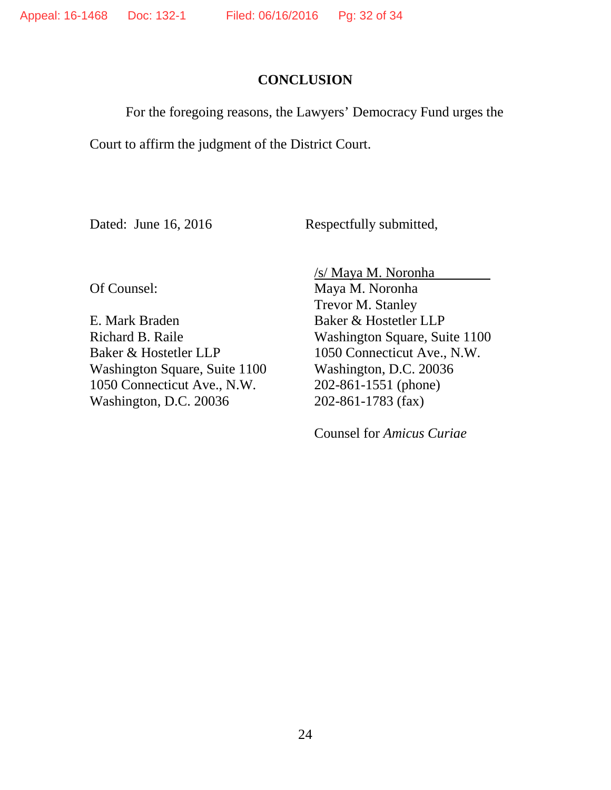### **CONCLUSION**

For the foregoing reasons, the Lawyers' Democracy Fund urges the

Court to affirm the judgment of the District Court.

Dated: June 16, 2016 Respectfully submitted,

Of Counsel:

E. Mark Braden Richard B. Raile Baker & Hostetler LLP Washington Square, Suite 1100 1050 Connecticut Ave., N.W. Washington, D.C. 20036

/s/ Maya M. Noronha Maya M. Noronha Trevor M. Stanley Baker & Hostetler LLP Washington Square, Suite 1100 1050 Connecticut Ave., N.W. Washington, D.C. 20036 202-861-1551 (phone) 202-861-1783 (fax)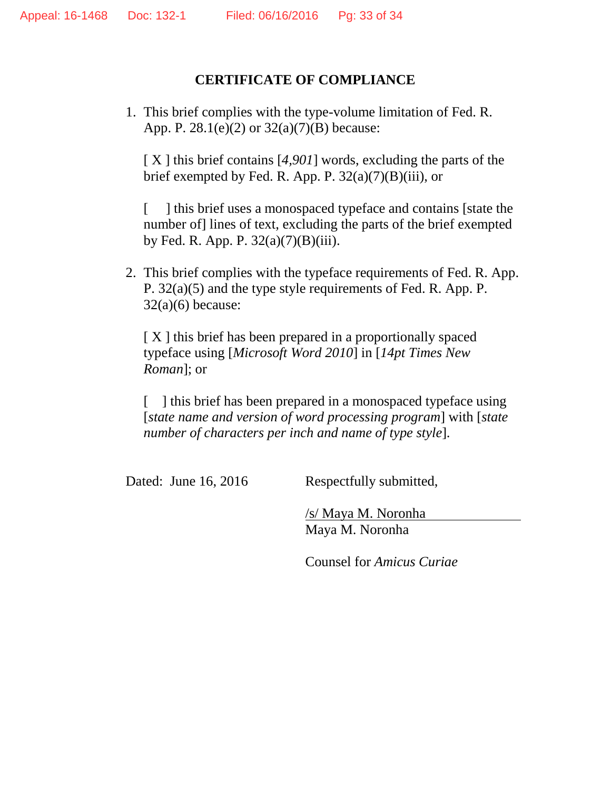### **CERTIFICATE OF COMPLIANCE**

1. This brief complies with the type-volume limitation of Fed. R. App. P. 28.1(e)(2) or 32(a)(7)(B) because:

[ X ] this brief contains [*4,901*] words, excluding the parts of the brief exempted by Fed. R. App. P.  $32(a)(7)(B)(iii)$ , or

[ ] this brief uses a monospaced typeface and contains [state the number of] lines of text, excluding the parts of the brief exempted by Fed. R. App. P.  $32(a)(7)(B)(iii)$ .

2. This brief complies with the typeface requirements of Fed. R. App. P. 32(a)(5) and the type style requirements of Fed. R. App. P.  $32(a)(6)$  because:

[X] this brief has been prepared in a proportionally spaced typeface using [*Microsoft Word 2010*] in [*14pt Times New Roman*]; or

[ ] this brief has been prepared in a monospaced typeface using [*state name and version of word processing program*] with [*state number of characters per inch and name of type style*].

Dated: June 16, 2016 Respectfully submitted,

/s/ Maya M. Noronha Maya M. Noronha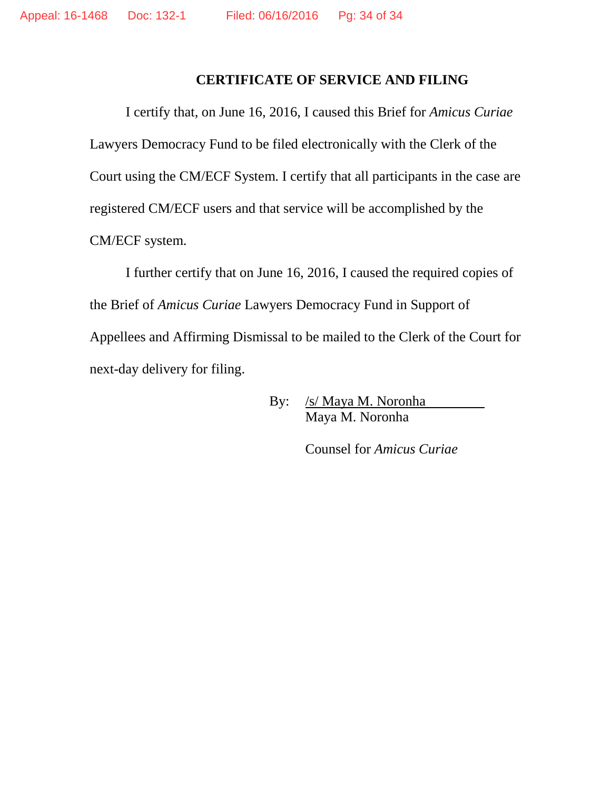#### **CERTIFICATE OF SERVICE AND FILING**

I certify that, on June 16, 2016, I caused this Brief for *Amicus Curiae* Lawyers Democracy Fund to be filed electronically with the Clerk of the Court using the CM/ECF System. I certify that all participants in the case are registered CM/ECF users and that service will be accomplished by the CM/ECF system.

I further certify that on June 16, 2016, I caused the required copies of the Brief of *Amicus Curiae* Lawyers Democracy Fund in Support of Appellees and Affirming Dismissal to be mailed to the Clerk of the Court for next-day delivery for filing.

> By: /s/ Maya M. Noronha Maya M. Noronha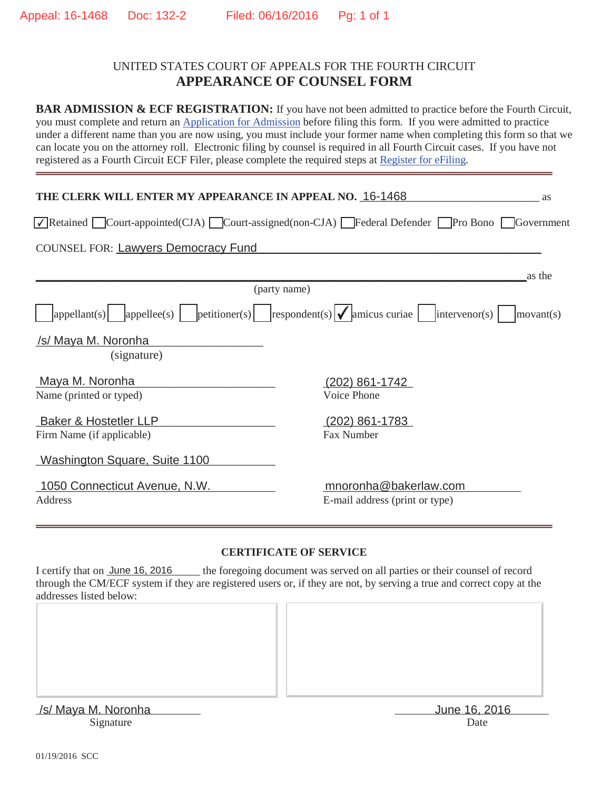#### UNITED STATES COURT OF APPEALS FOR THE FOURTH CIRCUIT **APPEARANCE OF COUNSEL FORM**

BAR ADMISSION & ECF REGISTRATION: If you have not been admitted to practice before the Fourth Circuit, you must complete and return an Application for Admission before filing this form. If you were admitted to practice under a different name than you are now using, you must include your former name when completing this form so that we can locate you on the attorney roll. Electronic filing by counsel is required in all Fourth Circuit cases. If you have not registered as a Fourth Circuit ECF Filer, please complete the required steps at Register for eFiling.

| THE CLERK WILL ENTER MY APPEARANCE IN APPEAL NO. 16-1468 | <i>as</i>                                                                                                                                                                                                                       |
|----------------------------------------------------------|---------------------------------------------------------------------------------------------------------------------------------------------------------------------------------------------------------------------------------|
|                                                          | $\sqrt{\sqrt{\frac{1}{2}}}$ Retained $\sqrt{\frac{1}{2}}$ Court-appointed(CJA) $\sqrt{\frac{1}{2}}$ Court-assigned(non-CJA) $\sqrt{\frac{1}{2}}$ Federal Defender $\sqrt{\frac{1}{2}}$ Pro Bono $\sqrt{\frac{1}{2}}$ Government |
| <b>COUNSEL FOR: Lawyers Democracy Fund</b>               |                                                                                                                                                                                                                                 |
|                                                          | as the                                                                                                                                                                                                                          |
|                                                          | (party name)                                                                                                                                                                                                                    |
| $ appellant(s) $ $ appellee(s) $                         | $ {\rm{petitioner}}(s) $ $ {\rm{respondent}}(s)  \times  {\rm{amicus \space curiae}} $ intervenor(s)  <br>$ $ movant $(s)$                                                                                                      |
| /s/ Maya M. Noronha                                      |                                                                                                                                                                                                                                 |
|                                                          |                                                                                                                                                                                                                                 |
| (signature)                                              |                                                                                                                                                                                                                                 |
| Maya M. Noronha                                          | <u>(202) 861-1742</u>                                                                                                                                                                                                           |
| Name (printed or typed)                                  | Voice Phone                                                                                                                                                                                                                     |
|                                                          |                                                                                                                                                                                                                                 |
| <b>Baker &amp; Hostetler LLP</b>                         | $(202)$ 861-1783                                                                                                                                                                                                                |
| Firm Name (if applicable)                                | Fax Number                                                                                                                                                                                                                      |
|                                                          |                                                                                                                                                                                                                                 |
| Washington Square, Suite 1100                            |                                                                                                                                                                                                                                 |
|                                                          |                                                                                                                                                                                                                                 |
| 1050 Connecticut Avenue, N.W.                            | mnoronha@bakerlaw.com                                                                                                                                                                                                           |
| Address                                                  | E-mail address (print or type)                                                                                                                                                                                                  |
|                                                          |                                                                                                                                                                                                                                 |

#### **CERTIFICATE OF SERVICE**

I certify that on <u>June 16, 2016</u> the foregoing document was served on all parties or their counsel of record through the CM/ECF system if they are registered users or, if they are not, by serving a true and correct copy at the addresses listed below: 1 I

| /s/ Maya M. Noronha | June 16, 2016 |
|---------------------|---------------|
| Signature           | Date          |
|                     |               |